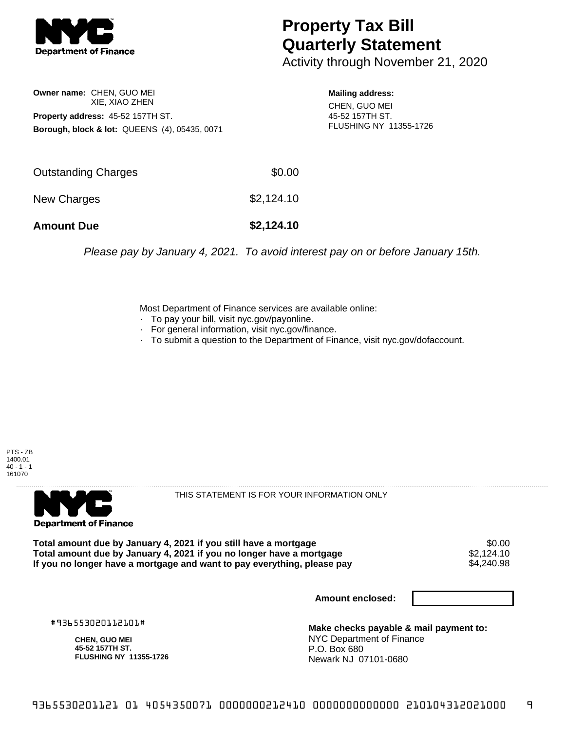

## **Property Tax Bill Quarterly Statement**

Activity through November 21, 2020

**Owner name:** CHEN, GUO MEI XIE, XIAO ZHEN **Property address:** 45-52 157TH ST. **Borough, block & lot:** QUEENS (4), 05435, 0071

**Mailing address:**

CHEN, GUO MEI 45-52 157TH ST. FLUSHING NY 11355-1726

| <b>Amount Due</b>   | \$2,124.10 |
|---------------------|------------|
| New Charges         | \$2,124.10 |
| Outstanding Charges | \$0.00     |

Please pay by January 4, 2021. To avoid interest pay on or before January 15th.

Most Department of Finance services are available online:

- · To pay your bill, visit nyc.gov/payonline.
- For general information, visit nyc.gov/finance.
- · To submit a question to the Department of Finance, visit nyc.gov/dofaccount.





THIS STATEMENT IS FOR YOUR INFORMATION ONLY

Total amount due by January 4, 2021 if you still have a mortgage \$0.00<br>Total amount due by January 4, 2021 if you no longer have a mortgage \$2.124.10 **Total amount due by January 4, 2021 if you no longer have a mortgage**  $$2,124.10$ **<br>If you no longer have a mortgage and want to pay everything, please pay**  $$4,240.98$ If you no longer have a mortgage and want to pay everything, please pay

**Amount enclosed:**

#936553020112101#

**CHEN, GUO MEI 45-52 157TH ST. FLUSHING NY 11355-1726**

**Make checks payable & mail payment to:** NYC Department of Finance P.O. Box 680 Newark NJ 07101-0680